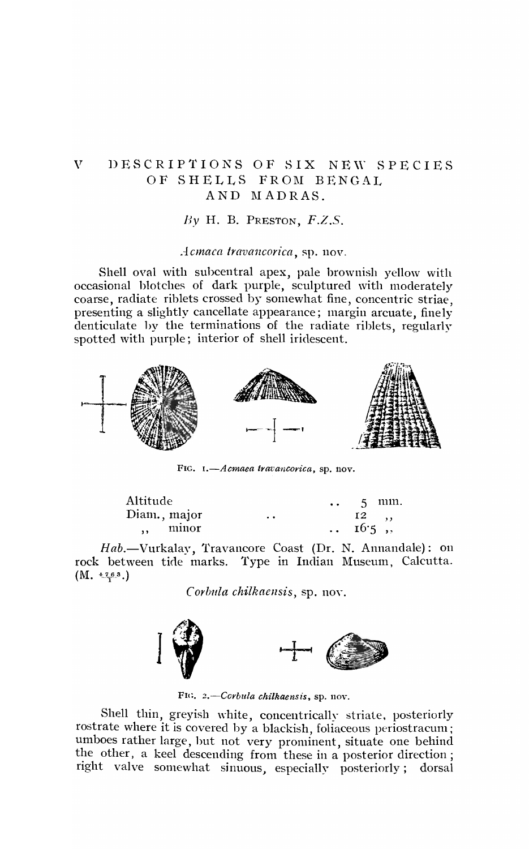## V DESCRIPTIONS OF SIX NEW SPECIES OF SHELLS FROM BENGAL AND MADRAS.

*Dy* H. B. PRESTON, *F.Z.S.* 

*Acmaca travancorica,* sp. nov.

Shell oval with suhcentral apex, pale brownish yellow with occasional blotches of dark purple, sculptured with moderately coarse, radiate riblets crossed by somewhat fine, concentric striae, presenting a slightly cancellate appearance; margin arcuate, finely denticulate hy the terminations of the radiate riblets, regularly spotted with purple; interior of shell iridescent.



FIG. I.-*Acmaea travancorica*, sp. nov.

| Altitude     |       |                 | $\bullet$ $\bullet$ .<br><br>: |                | 5 mm. |
|--------------|-------|-----------------|--------------------------------|----------------|-------|
| Diam., major |       | $\cdot$ $\cdot$ |                                | 12, , ,        |       |
| $\cdots$     | minor |                 |                                | $\ldots$ 16.5, |       |
|              |       |                 |                                |                |       |

Hab.-Vurkalay, Travancore Coast (Dr. N. Annandale): on rock between tide marks. Type in Indian Museum, Calcutta.  $(M. \ \frac{4.763}{1})$ 

*Corbula chilkaensis*, sp. nov.



FIG. 2.-Ccrbula chilkaensis, sp. nov.

Shell thin, greyish white, concentrically striate, posteriorly rostrate where it is covered by a blackish, foliaceous periostracum; umboes rather large, hut not very prominent, situate one behind the other. a keel descending from these in a posterior direction; right valve somewhat sinuous, especially posteriorly; dorsal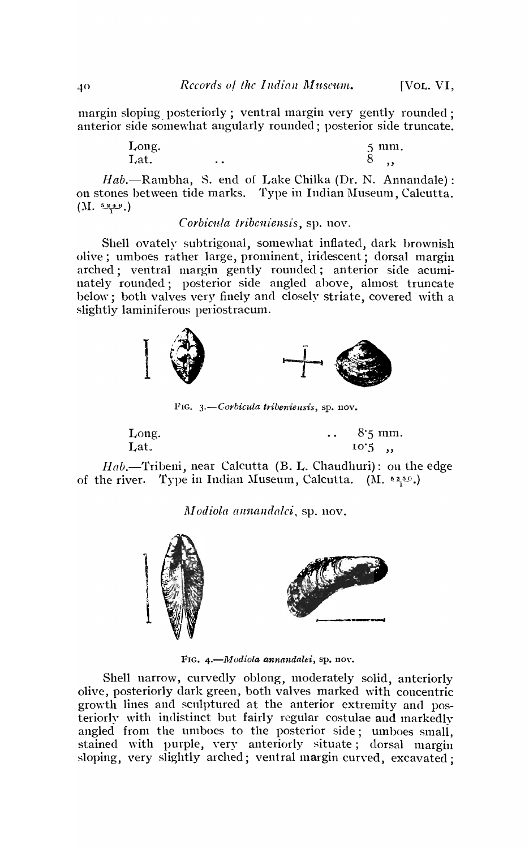margin sloping posteriorly; ventral margin very gently rounded: anterior side somewhat angularly rounded; posterior side truncate.

| Long. |     | 5 mm. |
|-------|-----|-------|
| Lat.  | . . | ŏ     |

*Hab.*—Rambha, S. end of Lake Chilka (Dr. N. Annandale): on stones between tide marks. Type in Indian Museum, Calcutta.  $(M. 5219)$ 

## *Corbic1tla tribeniensis,* sp. nov.

Shell ovately subtrigonal, somewhat inflated, dark brownish olive; umboes rather large, prominent, iridescent; dorsal margin arched; ventral margin gently rounded; anterior side acuminately rounded; posterior side angled above, almost truncate below; both valves very finely and closely striate, covered with a slightly laminiferous periostracum.



FIG. *3.-Corbicula tribeniensis,* sp. nov.

| Long. | $8.5 \text{ mm}$ .<br>$\ddot{\phantom{0}}$ |  |
|-------|--------------------------------------------|--|
| Lat.  | $10^{\circ}5$ ,                            |  |

 $H_{ab}$ —Tribeni, near Calcutta (B. L. Chaudhuri): on the edge of the river. Type in Indian Museum, Calcutta. (M.  $5250$ .)

*Modiola annandalci*, sp. nov.



FIG. 4.-Modiola annandalei, sp. nov.

Shell narrow, curvedly oblong, moderately solid, anteriorly olive, posteriorly dark green, both valves marked with concentric growth lines and sculptured at the anterior extremity and posteriorly with indistinct but fairly regular costulae and markedly angled from the umboes to the posterior side; umboes small, stained with purple, yery anteriorly situate; dorsal margin sloping, very slightly arched; ventral margin curved, excavated;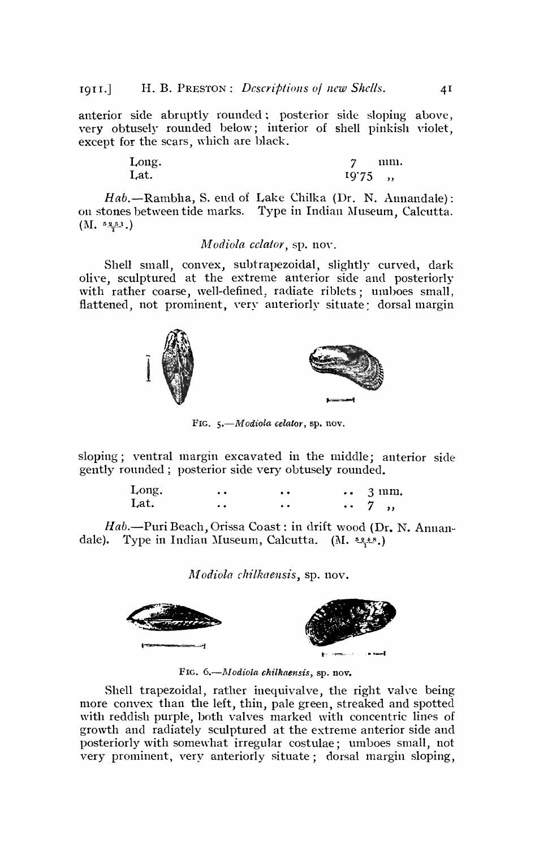anterior side abruptly rounded; posterior side sloping above, very obtusely rounded below; interior of shell pinkish violet, except for the scars, which are black.

| Long. |           | 111111. |
|-------|-----------|---------|
| Lat.  | $19'75$ , |         |
|       |           |         |

*Hab.-Rambha,* S. end of Lake Chilka (Dr. N. Annandale): on stones between tide marks. Type in Indian Museum, Calcutta.  $(M. 5251)$ 

## *M odiola celator,* sp. nov.

Shell small, convex, subtrapezoidal, slightly curved, dark olive, sculptured at the extreme anterior side and posteriorly with rather coarse, well-defined, radiate riblets; umboes small, flattened, not prominent, very anteriorly situate; dorsal margin



FIG. 5.-Modiola celator, sp. nov.

sloping; ventral margin excavated in the middle; anterior side gently rounded; posterior side very obtusely rounded.

| Long. | $\bullet$        | $\bullet\bullet$     | $\cdots$ 3 mm. |
|-------|------------------|----------------------|----------------|
| Lat.  | $\bullet\bullet$ | $\ddot{\phantom{a}}$ | $\cdots$ 7,    |

*Hab.-Puri* Beach, Orissa Coast: in drift wood (Dr. N. Annandale). Type in Indian Museum, Calcutta. (M.  $\frac{52.18}{2.18}$ .)

*Modiola chilkaensis*, sp. nov.



FIG. 6.-~I *odiola chilkaensis,* sp. nov.

Shell trapezoidal, rather inequivalve, the right valve being more convex than the left, thin, pale green, streaked and spotted with reddish purple, both valves marked with concentric lines of growth and radiately sculptured at the extreme anterior side and posteriorly with somewhat irregular costulae; umboes small, not very prominent, very anteriorly situate; dorsal margin sloping,